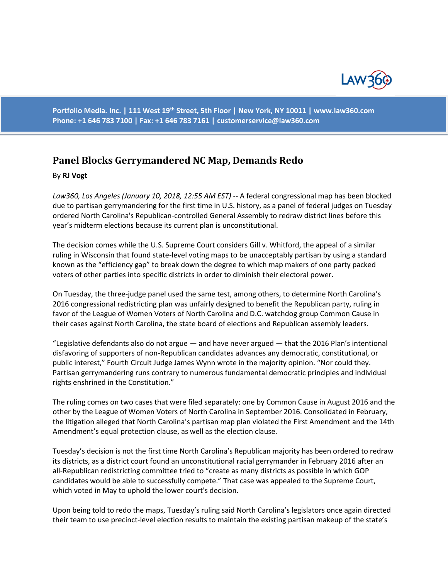

**Portfolio Media. Inc. | 111 West 19th Street, 5th Floor | New York, NY 10011 | www.law360.com Phone: +1 646 783 7100 | Fax: +1 646 783 7161 | [customerservice@law360.com](mailto:customerservice@law360.com)**

## **Panel Blocks Gerrymandered NC Map, Demands Redo**

## By **RJ Vogt**

*Law360, Los Angeles (January 10, 2018, 12:55 AM EST)* -- A federal congressional map has been blocked due to partisan gerrymandering for the first time in U.S. history, as a panel of federal judges on Tuesday ordered North Carolina's Republican-controlled General Assembly to redraw district lines before this year's midterm elections because its current plan is unconstitutional.

The decision comes while the U.S. Supreme Court considers Gill v. Whitford, the appeal of a similar ruling in Wisconsin that found state-level voting maps to be unacceptably partisan by using a standard known as the "efficiency gap" to break down the degree to which map makers of one party packed voters of other parties into specific districts in order to diminish their electoral power.

On Tuesday, the three-judge panel used the same test, among others, to determine North Carolina's 2016 congressional redistricting plan was unfairly designed to benefit the Republican party, ruling in favor of the League of Women Voters of North Carolina and D.C. watchdog group Common Cause in their cases against North Carolina, the state board of elections and Republican assembly leaders.

"Legislative defendants also do not argue — and have never argued — that the 2016 Plan's intentional disfavoring of supporters of non-Republican candidates advances any democratic, constitutional, or public interest," Fourth Circuit Judge James Wynn wrote in the majority opinion. "Nor could they. Partisan gerrymandering runs contrary to numerous fundamental democratic principles and individual rights enshrined in the Constitution."

The ruling comes on two cases that were filed separately: one by Common Cause in August 2016 and the other by the League of Women Voters of North Carolina in September 2016. Consolidated in February, the litigation alleged that North Carolina's partisan map plan violated the First Amendment and the 14th Amendment's equal protection clause, as well as the election clause.

Tuesday's decision is not the first time North Carolina's Republican majority has been ordered to redraw its districts, as a district court found an unconstitutional racial gerrymander in February 2016 after an all-Republican redistricting committee tried to "create as many districts as possible in which GOP candidates would be able to successfully compete." That case was appealed to the Supreme Court, which voted in May to uphold the lower court's decision.

Upon being told to redo the maps, Tuesday's ruling said North Carolina's legislators once again directed their team to use precinct-level election results to maintain the existing partisan makeup of the state's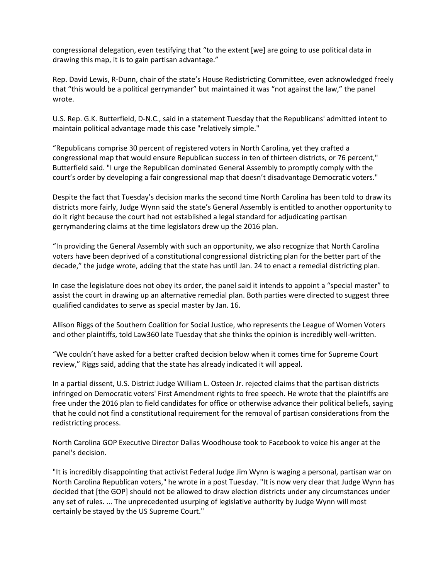congressional delegation, even testifying that "to the extent [we] are going to use political data in drawing this map, it is to gain partisan advantage."

Rep. David Lewis, R-Dunn, chair of the state's House Redistricting Committee, even acknowledged freely that "this would be a political gerrymander" but maintained it was "not against the law," the panel wrote.

U.S. Rep. G.K. Butterfield, D-N.C., said in a statement Tuesday that the Republicans' admitted intent to maintain political advantage made this case "relatively simple."

"Republicans comprise 30 percent of registered voters in North Carolina, yet they crafted a congressional map that would ensure Republican success in ten of thirteen districts, or 76 percent," Butterfield said. "I urge the Republican dominated General Assembly to promptly comply with the court's order by developing a fair congressional map that doesn't disadvantage Democratic voters."

Despite the fact that Tuesday's decision marks the second time North Carolina has been told to draw its districts more fairly, Judge Wynn said the state's General Assembly is entitled to another opportunity to do it right because the court had not established a legal standard for adjudicating partisan gerrymandering claims at the time legislators drew up the 2016 plan.

"In providing the General Assembly with such an opportunity, we also recognize that North Carolina voters have been deprived of a constitutional congressional districting plan for the better part of the decade," the judge wrote, adding that the state has until Jan. 24 to enact a remedial districting plan.

In case the legislature does not obey its order, the panel said it intends to appoint a "special master" to assist the court in drawing up an alternative remedial plan. Both parties were directed to suggest three qualified candidates to serve as special master by Jan. 16.

Allison Riggs of the Southern Coalition for Social Justice, who represents the League of Women Voters and other plaintiffs, told Law360 late Tuesday that she thinks the opinion is incredibly well-written.

"We couldn't have asked for a better crafted decision below when it comes time for Supreme Court review," Riggs said, adding that the state has already indicated it will appeal.

In a partial dissent, U.S. District Judge William L. Osteen Jr. rejected claims that the partisan districts infringed on Democratic voters' First Amendment rights to free speech. He wrote that the plaintiffs are free under the 2016 plan to field candidates for office or otherwise advance their political beliefs, saying that he could not find a constitutional requirement for the removal of partisan considerations from the redistricting process.

North Carolina GOP Executive Director Dallas Woodhouse took to Facebook to voice his anger at the panel's decision.

"It is incredibly disappointing that activist Federal Judge Jim Wynn is waging a personal, partisan war on North Carolina Republican voters," he wrote in a post Tuesday. "It is now very clear that Judge Wynn has decided that [the GOP] should not be allowed to draw election districts under any circumstances under any set of rules. ... The unprecedented usurping of legislative authority by Judge Wynn will most certainly be stayed by the US Supreme Court."